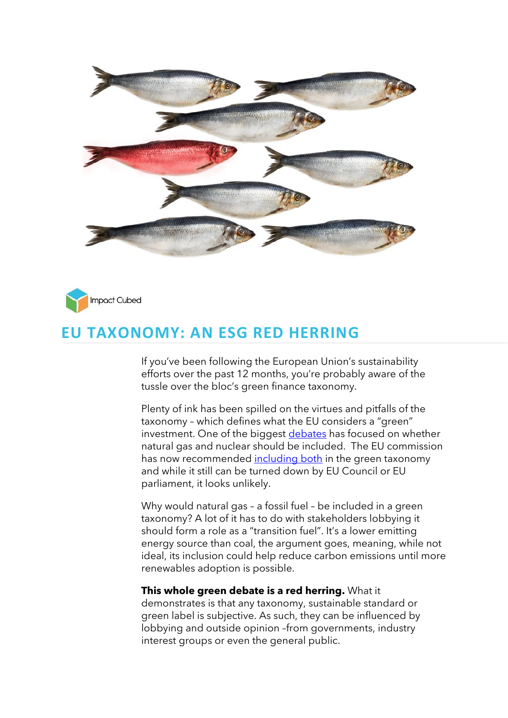



## **EU TAXONOMY: AN ESG RED HERRING**

If you've been following the European Union's sustainability efforts over the past 12 months, you're probably aware of the tussle over the bloc's green finance taxonomy.

Plenty of ink has been spilled on the virtues and pitfalls of the taxonomy – which defines what the EU considers a "green" investment. One of the biggest [debates](https://app.curationcorp.com/story/013E3226-B2A1-4664-BC3A-8D2B8A0DC30A) has focused on whether natural gas and nuclear should be included. The EU commission has now recommended [including both](https://www.dw.com/en/european-commission-declares-nuclear-and-gas-to-be-green/a-60614990) in the green taxonomy and while it still can be turned down by EU Council or EU parliament, it looks unlikely.

Why would natural gas – a fossil fuel – be included in a green taxonomy? A lot of it has to do with stakeholders lobbying it should form a role as a "transition fuel". It's a lower emitting energy source than coal, the argument goes, meaning, while not ideal, its inclusion could help reduce carbon emissions until more renewables adoption is possible.

## **This whole green debate is a red herring.** What it

demonstrates is that any taxonomy, sustainable standard or green label is subjective. As such, they can be influenced by lobbying and outside opinion –from governments, industry interest groups or even the general public.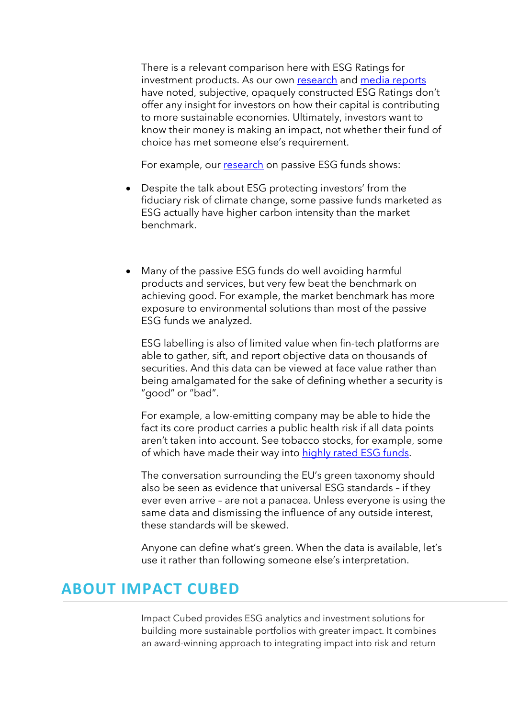There is a relevant comparison here with ESG Ratings for investment products. As our own [research](https://www.impact-cubed.com/publication?file=ImpactCubed_Sustainability%20Impact%20of%20Passive%20ESG%20Funds_March2021.pdf) and [media reports](https://www.bloomberg.com/news/articles/2021-12-21/how-to-get-an-esg-rating-upgrade) have noted, subjective, opaquely constructed ESG Ratings don't offer any insight for investors on how their capital is contributing to more sustainable economies. Ultimately, investors want to know their money is making an impact, not whether their fund of choice has met someone else's requirement.

For example, our [research](https://www.impact-cubed.com/publication?file=ImpactCubed_Sustainability%20Impact%20of%20Passive%20ESG%20Funds_March2021.pdf) on passive ESG funds shows:

- Despite the talk about ESG protecting investors' from the fiduciary risk of climate change, some passive funds marketed as ESG actually have higher carbon intensity than the market benchmark.
- Many of the passive ESG funds do well avoiding harmful products and services, but very few beat the benchmark on achieving good. For example, the market benchmark has more exposure to environmental solutions than most of the passive ESG funds we analyzed.

ESG labelling is also of limited value when fin-tech platforms are able to gather, sift, and report objective data on thousands of securities. And this data can be viewed at face value rather than being amalgamated for the sake of defining whether a security is "good" or "bad".

For example, a low-emitting company may be able to hide the fact its core product carries a public health risk if all data points aren't taken into account. See tobacco stocks, for example, some of which have made their way into [highly rated ESG funds.](https://citywireselector.com/news/how-tobacco-stocks-can-perversely-score-highly-on-esg/a1477977)

The conversation surrounding the EU's green taxonomy should also be seen as evidence that universal ESG standards – if they ever even arrive – are not a panacea. Unless everyone is using the same data and dismissing the influence of any outside interest, these standards will be skewed.

Anyone can define what's green. When the data is available, let's use it rather than following someone else's interpretation.

## **ABOUT IMPACT CUBED**

Impact Cubed provides ESG analytics and investment solutions for building more sustainable portfolios with greater impact. It combines an award-winning approach to integrating impact into risk and return